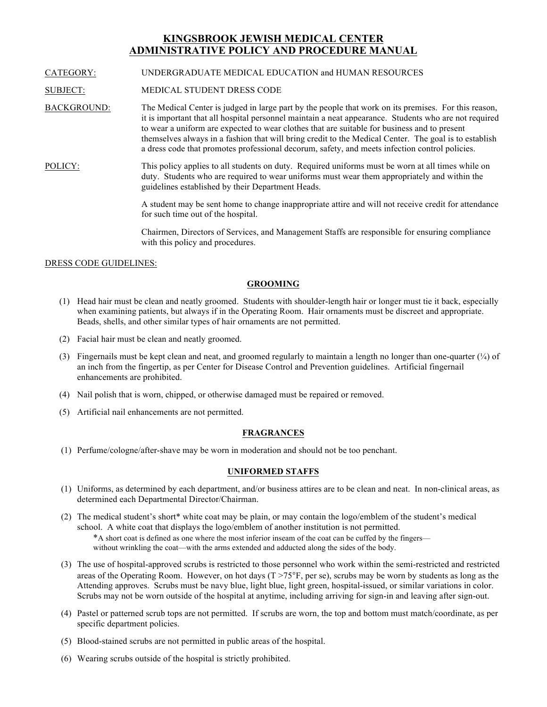# **KINGSBROOK JEWISH MEDICAL CENTER ADMINISTRATIVE POLICY AND PROCEDURE MANUAL**

#### CATEGORY: UNDERGRADUATE MEDICAL EDUCATION and HUMAN RESOURCES

SUBJECT: MEDICAL STUDENT DRESS CODE

- BACKGROUND: The Medical Center is judged in large part by the people that work on its premises. For this reason, it is important that all hospital personnel maintain a neat appearance. Students who are not required to wear a uniform are expected to wear clothes that are suitable for business and to present themselves always in a fashion that will bring credit to the Medical Center. The goal is to establish a dress code that promotes professional decorum, safety, and meets infection control policies.
- POLICY: This policy applies to all students on duty. Required uniforms must be worn at all times while on duty. Students who are required to wear uniforms must wear them appropriately and within the guidelines established by their Department Heads.

A student may be sent home to change inappropriate attire and will not receive credit for attendance for such time out of the hospital.

Chairmen, Directors of Services, and Management Staffs are responsible for ensuring compliance with this policy and procedures.

# DRESS CODE GUIDELINES:

#### **GROOMING**

- (1) Head hair must be clean and neatly groomed. Students with shoulder-length hair or longer must tie it back, especially when examining patients, but always if in the Operating Room. Hair ornaments must be discreet and appropriate. Beads, shells, and other similar types of hair ornaments are not permitted.
- (2) Facial hair must be clean and neatly groomed.
- (3) Fingernails must be kept clean and neat, and groomed regularly to maintain a length no longer than one-quarter  $(\frac{1}{4})$  of an inch from the fingertip, as per Center for Disease Control and Prevention guidelines. Artificial fingernail enhancements are prohibited.
- (4) Nail polish that is worn, chipped, or otherwise damaged must be repaired or removed.
- (5) Artificial nail enhancements are not permitted.

# **FRAGRANCES**

(1) Perfume/cologne/after-shave may be worn in moderation and should not be too penchant.

#### **UNIFORMED STAFFS**

- (1) Uniforms, as determined by each department, and/or business attires are to be clean and neat. In non-clinical areas, as determined each Departmental Director/Chairman.
- (2) The medical student's short\* white coat may be plain, or may contain the logo/emblem of the student's medical school. A white coat that displays the logo/emblem of another institution is not permitted.

\*A short coat is defined as one where the most inferior inseam of the coat can be cuffed by the fingers without wrinkling the coat—with the arms extended and adducted along the sides of the body.

- (3) The use of hospital-approved scrubs is restricted to those personnel who work within the semi-restricted and restricted areas of the Operating Room. However, on hot days  $(T > 75^{\circ}F, per se)$ , scrubs may be worn by students as long as the Attending approves. Scrubs must be navy blue, light blue, light green, hospital-issued, or similar variations in color. Scrubs may not be worn outside of the hospital at anytime, including arriving for sign-in and leaving after sign-out.
- (4) Pastel or patterned scrub tops are not permitted. If scrubs are worn, the top and bottom must match/coordinate, as per specific department policies.
- (5) Blood-stained scrubs are not permitted in public areas of the hospital.
- (6) Wearing scrubs outside of the hospital is strictly prohibited.